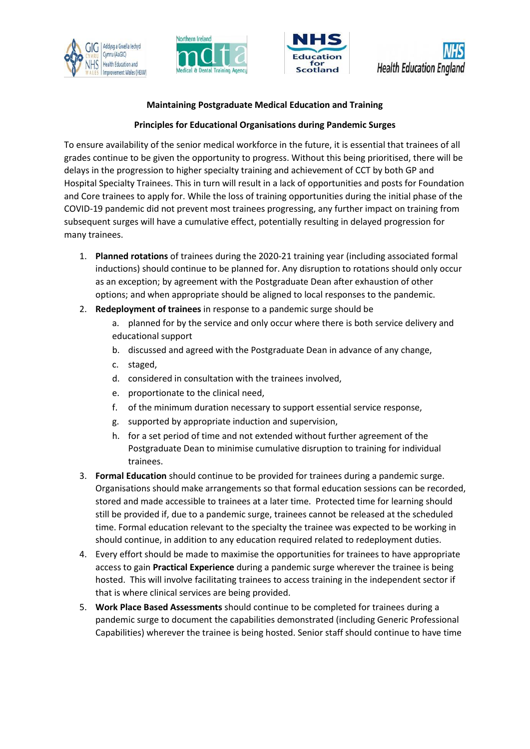







## **Maintaining Postgraduate Medical Education and Training**

## **Principles for Educational Organisations during Pandemic Surges**

To ensure availability of the senior medical workforce in the future, it is essential that trainees of all grades continue to be given the opportunity to progress. Without this being prioritised, there will be delays in the progression to higher specialty training and achievement of CCT by both GP and Hospital Specialty Trainees. This in turn will result in a lack of opportunities and posts for Foundation and Core trainees to apply for. While the loss of training opportunities during the initial phase of the COVID-19 pandemic did not prevent most trainees progressing, any further impact on training from subsequent surges will have a cumulative effect, potentially resulting in delayed progression for many trainees.

- 1. **Planned rotations** of trainees during the 2020-21 training year (including associated formal inductions) should continue to be planned for. Any disruption to rotations should only occur as an exception; by agreement with the Postgraduate Dean after exhaustion of other options; and when appropriate should be aligned to local responses to the pandemic.
- 2. **Redeployment of trainees** in response to a pandemic surge should be
	- a. planned for by the service and only occur where there is both service delivery and educational support
	- b. discussed and agreed with the Postgraduate Dean in advance of any change,
	- c. staged,
	- d. considered in consultation with the trainees involved,
	- e. proportionate to the clinical need,
	- f. of the minimum duration necessary to support essential service response,
	- g. supported by appropriate induction and supervision,
	- h. for a set period of time and not extended without further agreement of the Postgraduate Dean to minimise cumulative disruption to training for individual trainees.
- 3. **Formal Education** should continue to be provided for trainees during a pandemic surge. Organisations should make arrangements so that formal education sessions can be recorded, stored and made accessible to trainees at a later time. Protected time for learning should still be provided if, due to a pandemic surge, trainees cannot be released at the scheduled time. Formal education relevant to the specialty the trainee was expected to be working in should continue, in addition to any education required related to redeployment duties.
- 4. Every effort should be made to maximise the opportunities for trainees to have appropriate access to gain **Practical Experience** during a pandemic surge wherever the trainee is being hosted. This will involve facilitating trainees to access training in the independent sector if that is where clinical services are being provided.
- 5. **Work Place Based Assessments** should continue to be completed for trainees during a pandemic surge to document the capabilities demonstrated (including Generic Professional Capabilities) wherever the trainee is being hosted. Senior staff should continue to have time